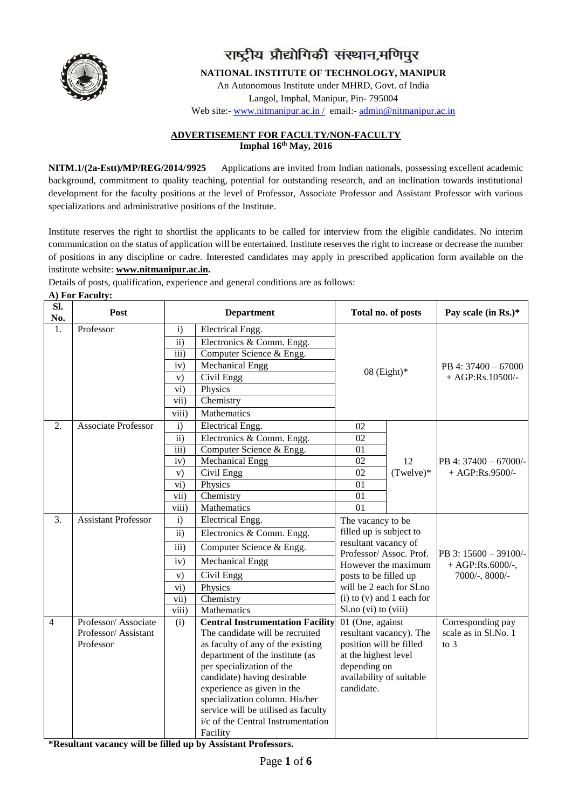

# राष्ट्रीय प्रौद्योगिकी संस्थान,मणिपुर

**NATIONAL INSTITUTE OF TECHNOLOGY, MANIPUR**

An Autonomous Institute under MHRD, Govt. of India Langol, Imphal, Manipur, Pin- 795004

Web site:- www.nitmanipur.ac.in / email:- [admin@nitmanipur.ac.in](mailto:admin@nitmanipur.ac.in)

#### **ADVERTISEMENT FOR FACULTY/NON-FACULTY Imphal 16 th May, 2016**

**NITM.1/(2a-Estt)/MP/REG/2014/9925** Applications are invited from Indian nationals, possessing excellent academic background, commitment to quality teaching, potential for outstanding research, and an inclination towards institutional development for the faculty positions at the level of Professor, Associate Professor and Assistant Professor with various specializations and administrative positions of the Institute.

Institute reserves the right to shortlist the applicants to be called for interview from the eligible candidates. No interim communication on the status of application will be entertained. Institute reserves the right to increase or decrease the number of positions in any discipline or cadre. Interested candidates may apply in prescribed application form available on the institute website: **[www.nitmanipur.ac.in.](http://www.nitmanipur.ac.in/)** 

Details of posts, qualification, experience and general conditions are as follows:

#### **A) For Faculty:**

| SI.<br>No.     | Post                       | <b>Department</b> |                                         | Total no. of posts       |                               | Pay scale (in Rs.)*   |
|----------------|----------------------------|-------------------|-----------------------------------------|--------------------------|-------------------------------|-----------------------|
| 1.             | Professor                  | i)                | Electrical Engg.                        |                          |                               |                       |
|                |                            | $\overline{ii}$ ) | Electronics & Comm. Engg.               |                          |                               |                       |
|                |                            | $\overline{iii}$  | Computer Science & Engg.                |                          |                               |                       |
|                |                            | iv)               | <b>Mechanical Engg</b>                  |                          |                               | PB 4: 37400 - 67000   |
|                |                            | V)                | Civil Engg                              |                          | $08$ (Eight)*                 | $+ AGP:Rs.10500/-$    |
|                |                            | vi)               | Physics                                 |                          |                               |                       |
|                |                            | vii)              | Chemistry                               |                          |                               |                       |
|                |                            | viii)             | Mathematics                             |                          |                               |                       |
| 2.             | <b>Associate Professor</b> | $\mathbf{i}$      | Electrical Engg.                        | 02                       |                               |                       |
|                |                            | ii)               | Electronics & Comm. Engg.               | 02                       |                               |                       |
|                |                            | $\overline{iii}$  | Computer Science & Engg.                | 01                       |                               |                       |
|                |                            | iv)               | Mechanical Engg                         | 02                       | 12                            | PB 4: 37400 - 67000/- |
|                |                            | V)                | Civil Engg                              | 02                       | $(Twelve)*$                   | $+ AGP:Rs.9500/-$     |
|                |                            | vi)               | Physics                                 | 01                       |                               |                       |
|                |                            | vii)              | Chemistry                               | 01                       |                               |                       |
|                |                            | $\overline{viii}$ | Mathematics                             | $\overline{01}$          |                               |                       |
| 3.             | <b>Assistant Professor</b> | i)                | Electrical Engg.                        | The vacancy to be        |                               |                       |
|                |                            | ii)               | Electronics & Comm. Engg.               | filled up is subject to  |                               |                       |
|                |                            | iii)              | Computer Science & Engg.                | resultant vacancy of     | Professor/Assoc. Prof.        | PB 3: 15600 - 39100/- |
|                |                            | iv)               | Mechanical Engg                         |                          | However the maximum           | + AGP:Rs.6000/-,      |
|                |                            | V)                | Civil Engg                              | posts to be filled up    |                               | $7000/-$ , 8000/-     |
|                |                            | $\overline{vi}$ ) | Physics                                 |                          | will be 2 each for Sl.no      |                       |
|                |                            | vii)              | Chemistry                               |                          | $(i)$ to $(v)$ and 1 each for |                       |
|                |                            | viii)             | Mathematics                             | Sl.no (vi) to (viii)     |                               |                       |
| $\overline{4}$ | Professor/Associate        | (i)               | <b>Central Instrumentation Facility</b> | 01 (One, against         |                               | Corresponding pay     |
|                | Professor/Assistant        |                   | The candidate will be recruited         |                          | resultant vacancy). The       | scale as in Sl.No. 1  |
|                | Professor                  |                   | as faculty of any of the existing       | position will be filled  |                               | to $3$                |
|                |                            |                   | department of the institute (as         | at the highest level     |                               |                       |
|                |                            |                   | per specialization of the               | depending on             |                               |                       |
|                |                            |                   | candidate) having desirable             | availability of suitable |                               |                       |
|                |                            |                   | experience as given in the              | candidate.               |                               |                       |
|                |                            |                   | specialization column. His/her          |                          |                               |                       |
|                |                            |                   | service will be utilised as faculty     |                          |                               |                       |
|                |                            |                   | i/c of the Central Instrumentation      |                          |                               |                       |
|                |                            |                   | Facility                                |                          |                               |                       |

**\*Resultant vacancy will be filled up by Assistant Professors.**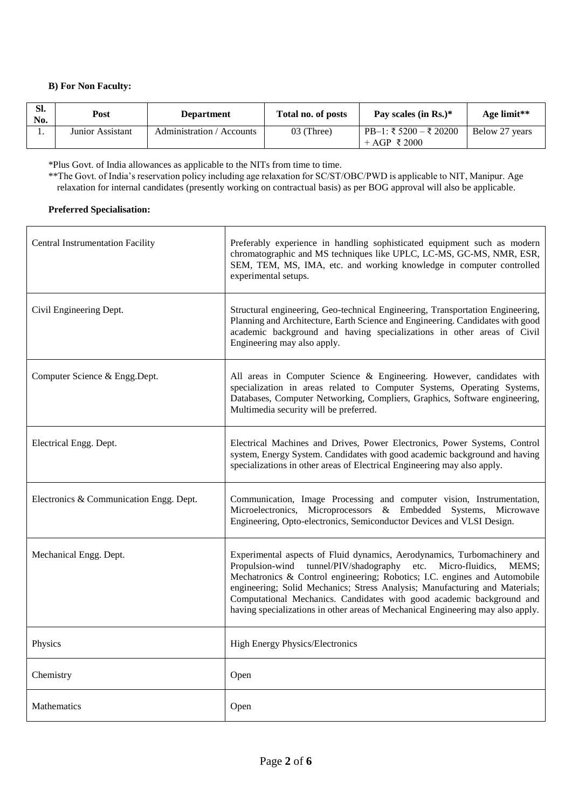### **B) For Non Faculty:**

| SI.<br>No. | Post             | <b>Department</b>         | Total no. of posts | Pay scales (in Rs.)*                   | Age limit**    |
|------------|------------------|---------------------------|--------------------|----------------------------------------|----------------|
|            | Junior Assistant | Administration / Accounts | 03 (Three)         | PB-1: ₹ 5200 – ₹ 20200<br>+ AGP ₹ 2000 | Below 27 years |

\*Plus Govt. of India allowances as applicable to the NITs from time to time.

\*\*The Govt. of India's reservation policy including age relaxation for SC/ST/OBC/PWD is applicable to NIT, Manipur. Age relaxation for internal candidates (presently working on contractual basis) as per BOG approval will also be applicable.

#### **Preferred Specialisation:**

| <b>Central Instrumentation Facility</b> | Preferably experience in handling sophisticated equipment such as modern<br>chromatographic and MS techniques like UPLC, LC-MS, GC-MS, NMR, ESR,<br>SEM, TEM, MS, IMA, etc. and working knowledge in computer controlled<br>experimental setups.                                                                                                                                                                                                                         |
|-----------------------------------------|--------------------------------------------------------------------------------------------------------------------------------------------------------------------------------------------------------------------------------------------------------------------------------------------------------------------------------------------------------------------------------------------------------------------------------------------------------------------------|
| Civil Engineering Dept.                 | Structural engineering, Geo-technical Engineering, Transportation Engineering,<br>Planning and Architecture, Earth Science and Engineering. Candidates with good<br>academic background and having specializations in other areas of Civil<br>Engineering may also apply.                                                                                                                                                                                                |
| Computer Science & Engg.Dept.           | All areas in Computer Science & Engineering. However, candidates with<br>specialization in areas related to Computer Systems, Operating Systems,<br>Databases, Computer Networking, Compliers, Graphics, Software engineering,<br>Multimedia security will be preferred.                                                                                                                                                                                                 |
| Electrical Engg. Dept.                  | Electrical Machines and Drives, Power Electronics, Power Systems, Control<br>system, Energy System. Candidates with good academic background and having<br>specializations in other areas of Electrical Engineering may also apply.                                                                                                                                                                                                                                      |
| Electronics & Communication Engg. Dept. | Communication, Image Processing and computer vision, Instrumentation,<br>Microelectronics, Microprocessors & Embedded Systems, Microwave<br>Engineering, Opto-electronics, Semiconductor Devices and VLSI Design.                                                                                                                                                                                                                                                        |
| Mechanical Engg. Dept.                  | Experimental aspects of Fluid dynamics, Aerodynamics, Turbomachinery and<br>Propulsion-wind tunnel/PIV/shadography etc. Micro-fluidics,<br>MEMS;<br>Mechatronics & Control engineering; Robotics; I.C. engines and Automobile<br>engineering; Solid Mechanics; Stress Analysis; Manufacturing and Materials;<br>Computational Mechanics. Candidates with good academic background and<br>having specializations in other areas of Mechanical Engineering may also apply. |
| Physics                                 | High Energy Physics/Electronics                                                                                                                                                                                                                                                                                                                                                                                                                                          |
| Chemistry                               | Open                                                                                                                                                                                                                                                                                                                                                                                                                                                                     |
| <b>Mathematics</b>                      | Open                                                                                                                                                                                                                                                                                                                                                                                                                                                                     |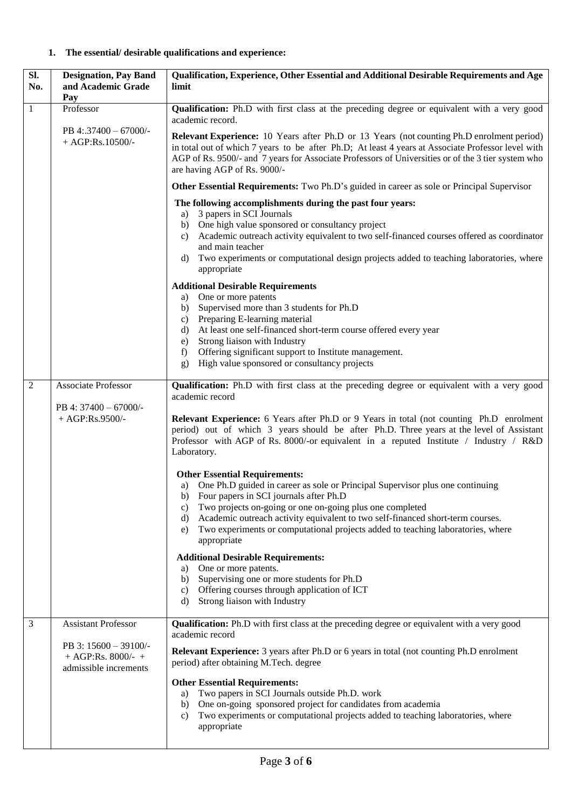## **1. The essential/ desirable qualifications and experience:**

| SI.<br>No.     | <b>Designation, Pay Band</b><br>and Academic Grade<br>Pay            | Qualification, Experience, Other Essential and Additional Desirable Requirements and Age<br>limit                                                                                                                                                                                                                                                                                                                                                                                                                                                                                                                                                                |  |
|----------------|----------------------------------------------------------------------|------------------------------------------------------------------------------------------------------------------------------------------------------------------------------------------------------------------------------------------------------------------------------------------------------------------------------------------------------------------------------------------------------------------------------------------------------------------------------------------------------------------------------------------------------------------------------------------------------------------------------------------------------------------|--|
| 1              | Professor                                                            | Qualification: Ph.D with first class at the preceding degree or equivalent with a very good<br>academic record.                                                                                                                                                                                                                                                                                                                                                                                                                                                                                                                                                  |  |
|                | PB 4:.37400 - 67000/-<br>$+ AGP:Rs.10500/-$                          | <b>Relevant Experience:</b> 10 Years after Ph.D or 13 Years (not counting Ph.D enrolment period)<br>in total out of which 7 years to be after Ph.D; At least 4 years at Associate Professor level with<br>AGP of Rs. 9500/- and 7 years for Associate Professors of Universities or of the 3 tier system who<br>are having AGP of Rs. 9000/-<br><b>Other Essential Requirements:</b> Two Ph.D's guided in career as sole or Principal Supervisor                                                                                                                                                                                                                 |  |
|                |                                                                      |                                                                                                                                                                                                                                                                                                                                                                                                                                                                                                                                                                                                                                                                  |  |
|                |                                                                      | The following accomplishments during the past four years:<br>3 papers in SCI Journals<br>a)<br>One high value sponsored or consultancy project<br>b)<br>Academic outreach activity equivalent to two self-financed courses offered as coordinator<br>c)<br>and main teacher<br>Two experiments or computational design projects added to teaching laboratories, where<br>d)<br>appropriate                                                                                                                                                                                                                                                                       |  |
|                |                                                                      | <b>Additional Desirable Requirements</b>                                                                                                                                                                                                                                                                                                                                                                                                                                                                                                                                                                                                                         |  |
|                |                                                                      | One or more patents<br>a)<br>Supervised more than 3 students for Ph.D<br>b)<br>Preparing E-learning material<br>C)<br>At least one self-financed short-term course offered every year<br>d)<br>Strong liaison with Industry<br>e)<br>Offering significant support to Institute management.<br>f)<br>High value sponsored or consultancy projects<br>g)                                                                                                                                                                                                                                                                                                           |  |
|                |                                                                      |                                                                                                                                                                                                                                                                                                                                                                                                                                                                                                                                                                                                                                                                  |  |
| $\overline{2}$ | Associate Professor<br>PB 4: 37400 - 67000/-<br>$+ AGP:Rs.9500/-$    | <b>Qualification:</b> Ph.D with first class at the preceding degree or equivalent with a very good<br>academic record<br><b>Relevant Experience:</b> 6 Years after Ph.D or 9 Years in total (not counting Ph.D enrolment<br>period) out of which 3 years should be after Ph.D. Three years at the level of Assistant<br>Professor with AGP of Rs. 8000/-or equivalent in a reputed Institute / Industry / R&D<br>Laboratory.                                                                                                                                                                                                                                     |  |
|                |                                                                      | <b>Other Essential Requirements:</b><br>a) One Ph.D guided in career as sole or Principal Supervisor plus one continuing<br>b) Four papers in SCI journals after Ph.D<br>Two projects on-going or one on-going plus one completed<br>C)<br>Academic outreach activity equivalent to two self-financed short-term courses.<br>d)<br>Two experiments or computational projects added to teaching laboratories, where<br>e)<br>appropriate<br><b>Additional Desirable Requirements:</b><br>One or more patents.<br>a)<br>Supervising one or more students for Ph.D<br>b)<br>Offering courses through application of ICT<br>c)<br>Strong liaison with Industry<br>d) |  |
| 3              | <b>Assistant Professor</b>                                           | <b>Qualification:</b> Ph.D with first class at the preceding degree or equivalent with a very good<br>academic record                                                                                                                                                                                                                                                                                                                                                                                                                                                                                                                                            |  |
|                | PB 3: 15600 - 39100/-<br>$+ AGP:Rs. 8000/+$<br>admissible increments | Relevant Experience: 3 years after Ph.D or 6 years in total (not counting Ph.D enrolment<br>period) after obtaining M.Tech. degree<br><b>Other Essential Requirements:</b>                                                                                                                                                                                                                                                                                                                                                                                                                                                                                       |  |
|                |                                                                      | Two papers in SCI Journals outside Ph.D. work<br>a)<br>One on-going sponsored project for candidates from academia<br>b)<br>Two experiments or computational projects added to teaching laboratories, where<br>c)<br>appropriate                                                                                                                                                                                                                                                                                                                                                                                                                                 |  |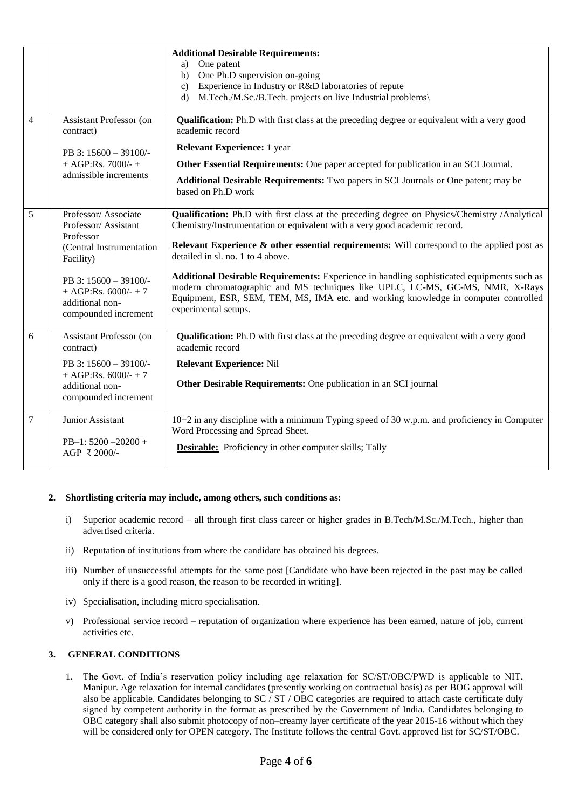|                |                                                                                             | <b>Additional Desirable Requirements:</b>                                                                                                                                                                                                                                                  |  |
|----------------|---------------------------------------------------------------------------------------------|--------------------------------------------------------------------------------------------------------------------------------------------------------------------------------------------------------------------------------------------------------------------------------------------|--|
|                |                                                                                             | One patent<br>a)                                                                                                                                                                                                                                                                           |  |
|                |                                                                                             | One Ph.D supervision on-going<br>b)                                                                                                                                                                                                                                                        |  |
|                |                                                                                             | Experience in Industry or R&D laboratories of repute<br>c)                                                                                                                                                                                                                                 |  |
|                |                                                                                             | M.Tech./M.Sc./B.Tech. projects on live Industrial problems\<br>$\mathbf{d}$                                                                                                                                                                                                                |  |
| $\overline{4}$ | <b>Assistant Professor (on</b><br>contract)                                                 | Qualification: Ph.D with first class at the preceding degree or equivalent with a very good<br>academic record                                                                                                                                                                             |  |
|                | PB 3: 15600 - 39100/-<br>$+ AGP:Rs. 7000/- +$<br>admissible increments                      | <b>Relevant Experience:</b> 1 year                                                                                                                                                                                                                                                         |  |
|                |                                                                                             | Other Essential Requirements: One paper accepted for publication in an SCI Journal.                                                                                                                                                                                                        |  |
|                |                                                                                             | <b>Additional Desirable Requirements:</b> Two papers in SCI Journals or One patent; may be<br>based on Ph.D work                                                                                                                                                                           |  |
| 5              | Professor/Associate<br>Professor/Assistant<br>Professor                                     | Qualification: Ph.D with first class at the preceding degree on Physics/Chemistry /Analytical<br>Chemistry/Instrumentation or equivalent with a very good academic record.                                                                                                                 |  |
|                | (Central Instrumentation<br>Facility)                                                       | Relevant Experience $\&$ other essential requirements: Will correspond to the applied post as<br>detailed in sl. no. 1 to 4 above.                                                                                                                                                         |  |
|                | PB 3: 15600 - 39100/-<br>$+ AGP:Rs. 6000/ - + 7$<br>additional non-<br>compounded increment | Additional Desirable Requirements: Experience in handling sophisticated equipments such as<br>modern chromatographic and MS techniques like UPLC, LC-MS, GC-MS, NMR, X-Rays<br>Equipment, ESR, SEM, TEM, MS, IMA etc. and working knowledge in computer controlled<br>experimental setups. |  |
| 6              | <b>Assistant Professor (on</b><br>contract)                                                 | <b>Qualification:</b> Ph.D with first class at the preceding degree or equivalent with a very good<br>academic record                                                                                                                                                                      |  |
|                | PB 3: 15600 - 39100/-                                                                       | <b>Relevant Experience: Nil</b>                                                                                                                                                                                                                                                            |  |
|                | + AGP:Rs. $6000/- + 7$<br>additional non-<br>compounded increment                           | Other Desirable Requirements: One publication in an SCI journal                                                                                                                                                                                                                            |  |
| 7              | Junior Assistant                                                                            | 10+2 in any discipline with a minimum Typing speed of 30 w.p.m. and proficiency in Computer<br>Word Processing and Spread Sheet.                                                                                                                                                           |  |
|                | PB-1: $5200 - 20200 +$<br>AGP ₹ 2000/-                                                      | <b>Desirable:</b> Proficiency in other computer skills; Tally                                                                                                                                                                                                                              |  |

## **2. Shortlisting criteria may include, among others, such conditions as:**

- i) Superior academic record all through first class career or higher grades in B.Tech/M.Sc./M.Tech., higher than advertised criteria.
- ii) Reputation of institutions from where the candidate has obtained his degrees.
- iii) Number of unsuccessful attempts for the same post [Candidate who have been rejected in the past may be called only if there is a good reason, the reason to be recorded in writing].
- iv) Specialisation, including micro specialisation.
- v) Professional service record reputation of organization where experience has been earned, nature of job, current activities etc.

## **3. GENERAL CONDITIONS**

1. The Govt. of India's reservation policy including age relaxation for SC/ST/OBC/PWD is applicable to NIT, Manipur. Age relaxation for internal candidates (presently working on contractual basis) as per BOG approval will also be applicable. Candidates belonging to SC / ST / OBC categories are required to attach caste certificate duly signed by competent authority in the format as prescribed by the Government of India. Candidates belonging to OBC category shall also submit photocopy of non–creamy layer certificate of the year 2015-16 without which they will be considered only for OPEN category. The Institute follows the central Govt. approved list for SC/ST/OBC.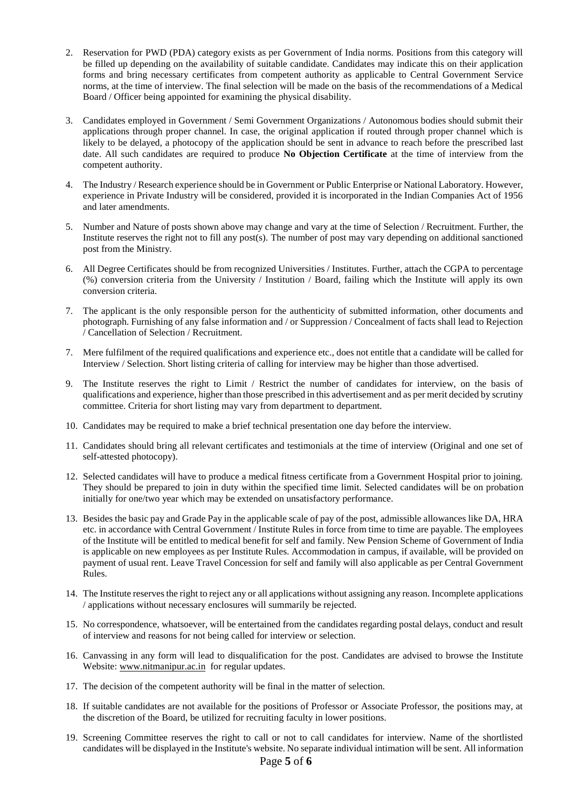- 2. Reservation for PWD (PDA) category exists as per Government of India norms. Positions from this category will be filled up depending on the availability of suitable candidate. Candidates may indicate this on their application forms and bring necessary certificates from competent authority as applicable to Central Government Service norms, at the time of interview. The final selection will be made on the basis of the recommendations of a Medical Board / Officer being appointed for examining the physical disability.
- 3. Candidates employed in Government / Semi Government Organizations / Autonomous bodies should submit their applications through proper channel. In case, the original application if routed through proper channel which is likely to be delayed, a photocopy of the application should be sent in advance to reach before the prescribed last date. All such candidates are required to produce **No Objection Certificate** at the time of interview from the competent authority.
- 4. The Industry / Research experience should be in Government or Public Enterprise or National Laboratory. However, experience in Private Industry will be considered, provided it is incorporated in the Indian Companies Act of 1956 and later amendments.
- 5. Number and Nature of posts shown above may change and vary at the time of Selection / Recruitment. Further, the Institute reserves the right not to fill any post(s). The number of post may vary depending on additional sanctioned post from the Ministry.
- 6. All Degree Certificates should be from recognized Universities / Institutes. Further, attach the CGPA to percentage (%) conversion criteria from the University / Institution / Board, failing which the Institute will apply its own conversion criteria.
- 7. The applicant is the only responsible person for the authenticity of submitted information, other documents and photograph. Furnishing of any false information and / or Suppression / Concealment of facts shall lead to Rejection / Cancellation of Selection / Recruitment.
- 7. Mere fulfilment of the required qualifications and experience etc., does not entitle that a candidate will be called for Interview / Selection. Short listing criteria of calling for interview may be higher than those advertised.
- 9. The Institute reserves the right to Limit / Restrict the number of candidates for interview, on the basis of qualifications and experience, higher than those prescribed in this advertisement and as per merit decided by scrutiny committee. Criteria for short listing may vary from department to department.
- 10. Candidates may be required to make a brief technical presentation one day before the interview.
- 11. Candidates should bring all relevant certificates and testimonials at the time of interview (Original and one set of self-attested photocopy).
- 12. Selected candidates will have to produce a medical fitness certificate from a Government Hospital prior to joining. They should be prepared to join in duty within the specified time limit. Selected candidates will be on probation initially for one/two year which may be extended on unsatisfactory performance.
- 13. Besides the basic pay and Grade Pay in the applicable scale of pay of the post, admissible allowances like DA, HRA etc. in accordance with Central Government / Institute Rules in force from time to time are payable. The employees of the Institute will be entitled to medical benefit for self and family. New Pension Scheme of Government of India is applicable on new employees as per Institute Rules. Accommodation in campus, if available, will be provided on payment of usual rent. Leave Travel Concession for self and family will also applicable as per Central Government Rules.
- 14. The Institute reserves the right to reject any or all applications without assigning any reason. Incomplete applications / applications without necessary enclosures will summarily be rejected.
- 15. No correspondence, whatsoever, will be entertained from the candidates regarding postal delays, conduct and result of interview and reasons for not being called for interview or selection.
- 16. Canvassing in any form will lead to disqualification for the post. Candidates are advised to browse the Institute Website: [www.nitmanipur.ac.in](http://www.nitmanipur.ac.in/) for regular updates.
- 17. The decision of the competent authority will be final in the matter of selection.
- 18. If suitable candidates are not available for the positions of Professor or Associate Professor, the positions may, at the discretion of the Board, be utilized for recruiting faculty in lower positions.
- 19. Screening Committee reserves the right to call or not to call candidates for interview. Name of the shortlisted candidates will be displayed in the Institute's website. No separate individual intimation will be sent. All information